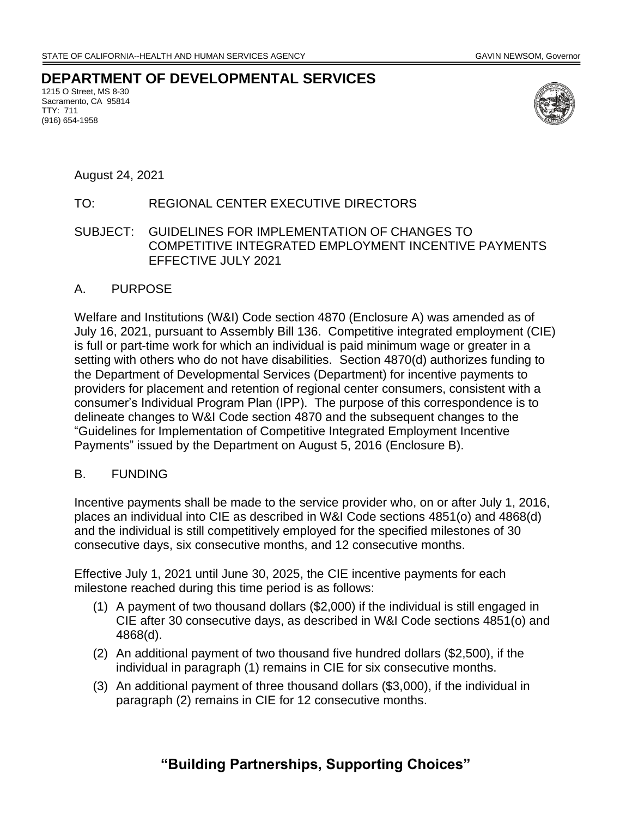**DEPARTMENT OF DEVELOPMENTAL SERVICES**

1215 O Street, MS 8-30 Sacramento, CA 95814 TTY: 711 (916) 654-1958



August 24, 2021

# TO: REGIONAL CENTER EXECUTIVE DIRECTORS

### SUBJECT: GUIDELINES FOR IMPLEMENTATION OF CHANGES TO COMPETITIVE INTEGRATED EMPLOYMENT INCENTIVE PAYMENTS EFFECTIVE JULY 2021

#### A. PURPOSE

Welfare and Institutions (W&I) Code section 4870 (Enclosure A) was amended as of July 16, 2021, pursuant to Assembly Bill 136. Competitive integrated employment (CIE) is full or part-time work for which an individual is paid minimum wage or greater in a setting with others who do not have disabilities. Section 4870(d) authorizes funding to the Department of Developmental Services (Department) for incentive payments to providers for placement and retention of regional center consumers, consistent with a consumer's Individual Program Plan (IPP). The purpose of this correspondence is to delineate changes to W&I Code section 4870 and the subsequent changes to the "Guidelines for Implementation of Competitive Integrated Employment Incentive Payments" issued by the Department on August 5, 2016 (Enclosure B).

#### B. FUNDING

Incentive payments shall be made to the service provider who, on or after July 1, 2016, places an individual into CIE as described in W&I Code sections 4851(o) and 4868(d) and the individual is still competitively employed for the specified milestones of 30 consecutive days, six consecutive months, and 12 consecutive months.

Effective July 1, 2021 until June 30, 2025, the CIE incentive payments for each milestone reached during this time period is as follows:

- (1) A payment of two thousand dollars (\$2,000) if the individual is still engaged in CIE after 30 consecutive days, as described in W&I Code sections 4851(o) and 4868(d).
- (2) An additional payment of two thousand five hundred dollars (\$2,500), if the individual in paragraph (1) remains in CIE for six consecutive months.
- (3) An additional payment of three thousand dollars (\$3,000), if the individual in paragraph (2) remains in CIE for 12 consecutive months.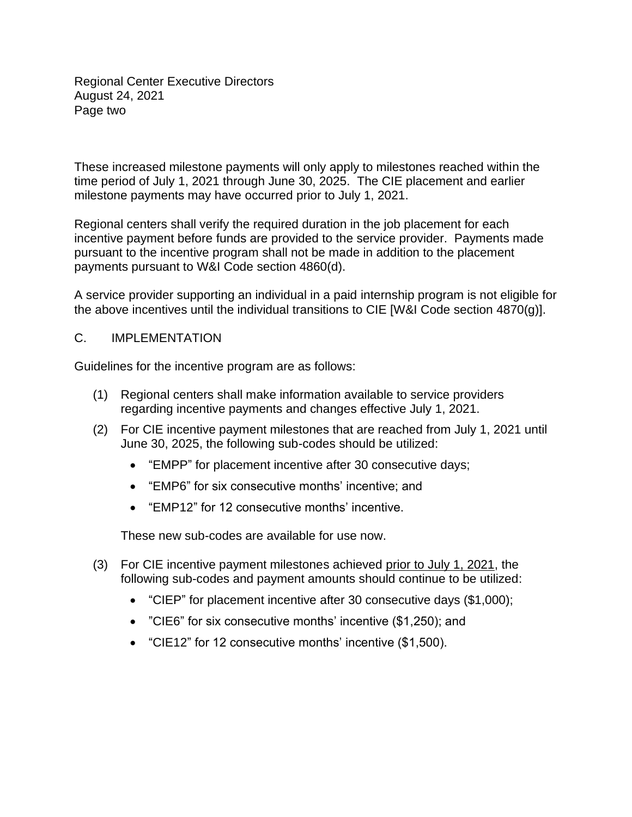Regional Center Executive Directors August 24, 2021 Page two

These increased milestone payments will only apply to milestones reached within the time period of July 1, 2021 through June 30, 2025. The CIE placement and earlier milestone payments may have occurred prior to July 1, 2021.

Regional centers shall verify the required duration in the job placement for each incentive payment before funds are provided to the service provider. Payments made pursuant to the incentive program shall not be made in addition to the placement payments pursuant to W&I Code section 4860(d).

A service provider supporting an individual in a paid internship program is not eligible for the above incentives until the individual transitions to CIE [W&I Code section 4870(g)].

## C. IMPLEMENTATION

Guidelines for the incentive program are as follows:

- (1) Regional centers shall make information available to service providers regarding incentive payments and changes effective July 1, 2021.
- (2) For CIE incentive payment milestones that are reached from July 1, 2021 until June 30, 2025, the following sub-codes should be utilized:
	- "EMPP" for placement incentive after 30 consecutive days;
	- "EMP6" for six consecutive months' incentive; and
	- "EMP12" for 12 consecutive months' incentive.

These new sub-codes are available for use now.

- (3) For CIE incentive payment milestones achieved prior to July 1, 2021, the following sub-codes and payment amounts should continue to be utilized:
	- "CIEP" for placement incentive after 30 consecutive days (\$1,000);
	- "CIE6" for six consecutive months' incentive (\$1,250); and
	- "CIE12" for 12 consecutive months' incentive (\$1,500).